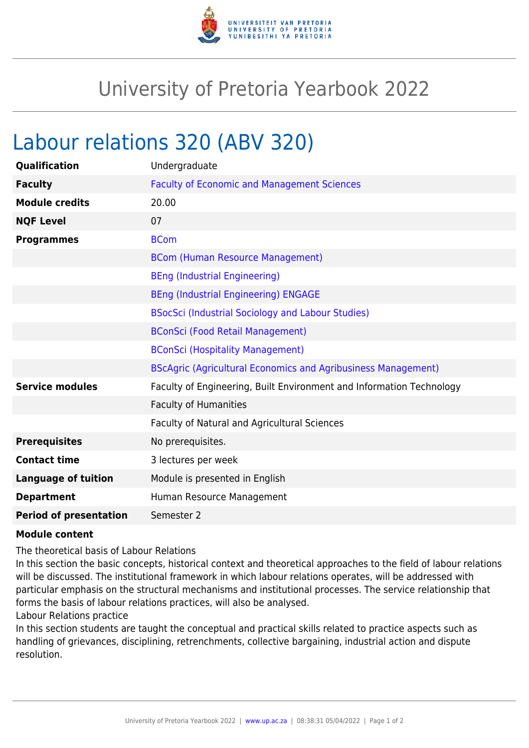

## University of Pretoria Yearbook 2022

## Labour relations 320 (ABV 320)

| Qualification                 | Undergraduate                                                        |
|-------------------------------|----------------------------------------------------------------------|
| <b>Faculty</b>                | <b>Faculty of Economic and Management Sciences</b>                   |
| <b>Module credits</b>         | 20.00                                                                |
| <b>NQF Level</b>              | 07                                                                   |
| <b>Programmes</b>             | <b>BCom</b>                                                          |
|                               | <b>BCom (Human Resource Management)</b>                              |
|                               | <b>BEng (Industrial Engineering)</b>                                 |
|                               | <b>BEng (Industrial Engineering) ENGAGE</b>                          |
|                               | BSocSci (Industrial Sociology and Labour Studies)                    |
|                               | <b>BConSci (Food Retail Management)</b>                              |
|                               | <b>BConSci (Hospitality Management)</b>                              |
|                               | <b>BScAgric (Agricultural Economics and Agribusiness Management)</b> |
| <b>Service modules</b>        | Faculty of Engineering, Built Environment and Information Technology |
|                               | <b>Faculty of Humanities</b>                                         |
|                               | Faculty of Natural and Agricultural Sciences                         |
| <b>Prerequisites</b>          | No prerequisites.                                                    |
| <b>Contact time</b>           | 3 lectures per week                                                  |
| <b>Language of tuition</b>    | Module is presented in English                                       |
| <b>Department</b>             | Human Resource Management                                            |
| <b>Period of presentation</b> | Semester 2                                                           |

## **Module content**

The theoretical basis of Labour Relations

In this section the basic concepts, historical context and theoretical approaches to the field of labour relations will be discussed. The institutional framework in which labour relations operates, will be addressed with particular emphasis on the structural mechanisms and institutional processes. The service relationship that forms the basis of labour relations practices, will also be analysed.

Labour Relations practice

In this section students are taught the conceptual and practical skills related to practice aspects such as handling of grievances, disciplining, retrenchments, collective bargaining, industrial action and dispute resolution.